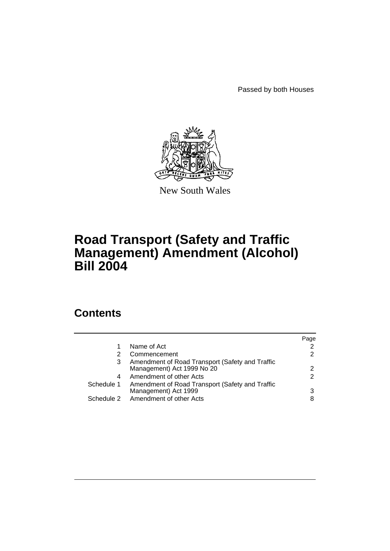Passed by both Houses



New South Wales

# **Road Transport (Safety and Traffic Management) Amendment (Alcohol) Bill 2004**

# **Contents**

|            |                                                                               | Page          |
|------------|-------------------------------------------------------------------------------|---------------|
|            | Name of Act                                                                   | 2             |
|            | Commencement                                                                  | 2             |
| 3          | Amendment of Road Transport (Safety and Traffic<br>Management) Act 1999 No 20 | 2             |
| 4          | Amendment of other Acts                                                       | $\mathcal{P}$ |
| Schedule 1 | Amendment of Road Transport (Safety and Traffic<br>Management) Act 1999       | 3             |
| Schedule 2 | Amendment of other Acts                                                       | 8             |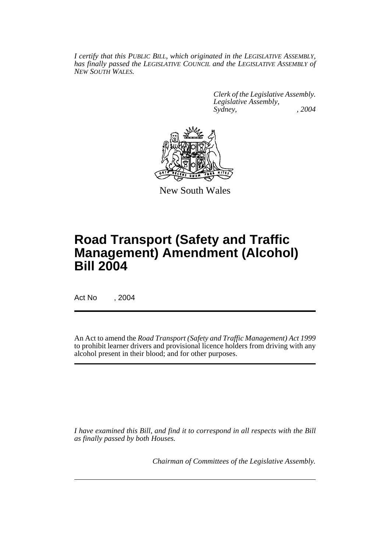*I certify that this PUBLIC BILL, which originated in the LEGISLATIVE ASSEMBLY, has finally passed the LEGISLATIVE COUNCIL and the LEGISLATIVE ASSEMBLY of NEW SOUTH WALES.*

> *Clerk of the Legislative Assembly. Legislative Assembly, Sydney, , 2004*



New South Wales

# **Road Transport (Safety and Traffic Management) Amendment (Alcohol) Bill 2004**

Act No , 2004

An Act to amend the *Road Transport (Safety and Traffic Management) Act 1999* to prohibit learner drivers and provisional licence holders from driving with any alcohol present in their blood; and for other purposes.

*I have examined this Bill, and find it to correspond in all respects with the Bill as finally passed by both Houses.*

*Chairman of Committees of the Legislative Assembly.*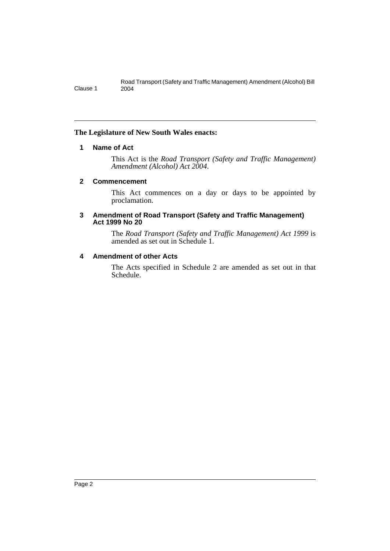#### **The Legislature of New South Wales enacts:**

### **1 Name of Act**

This Act is the *Road Transport (Safety and Traffic Management) Amendment (Alcohol) Act 2004*.

#### **2 Commencement**

This Act commences on a day or days to be appointed by proclamation.

#### **3 Amendment of Road Transport (Safety and Traffic Management) Act 1999 No 20**

The *Road Transport (Safety and Traffic Management) Act 1999* is amended as set out in Schedule 1.

### **4 Amendment of other Acts**

The Acts specified in Schedule 2 are amended as set out in that Schedule.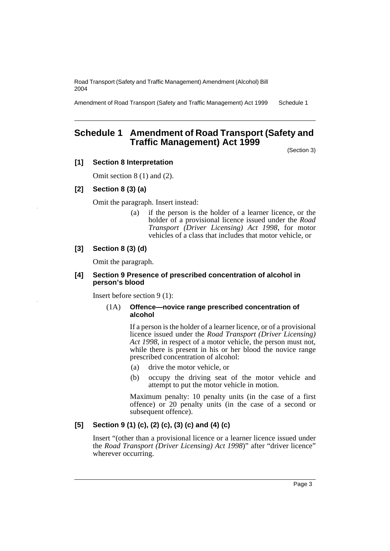Amendment of Road Transport (Safety and Traffic Management) Act 1999 Schedule 1

### **Schedule 1 Amendment of Road Transport (Safety and Traffic Management) Act 1999**

(Section 3)

### **[1] Section 8 Interpretation**

Omit section 8 (1) and (2).

#### **[2] Section 8 (3) (a)**

Omit the paragraph. Insert instead:

(a) if the person is the holder of a learner licence, or the holder of a provisional licence issued under the *Road Transport (Driver Licensing) Act 1998*, for motor vehicles of a class that includes that motor vehicle, or

#### **[3] Section 8 (3) (d)**

Omit the paragraph.

#### **[4] Section 9 Presence of prescribed concentration of alcohol in person's blood**

Insert before section 9 (1):

#### (1A) **Offence—novice range prescribed concentration of alcohol**

If a person is the holder of a learner licence, or of a provisional licence issued under the *Road Transport (Driver Licensing) Act 1998*, in respect of a motor vehicle, the person must not, while there is present in his or her blood the novice range prescribed concentration of alcohol:

- (a) drive the motor vehicle, or
- (b) occupy the driving seat of the motor vehicle and attempt to put the motor vehicle in motion.

Maximum penalty: 10 penalty units (in the case of a first offence) or 20 penalty units (in the case of a second or subsequent offence).

#### **[5] Section 9 (1) (c), (2) (c), (3) (c) and (4) (c)**

Insert "(other than a provisional licence or a learner licence issued under the *Road Transport (Driver Licensing) Act 1998*)" after "driver licence" wherever occurring.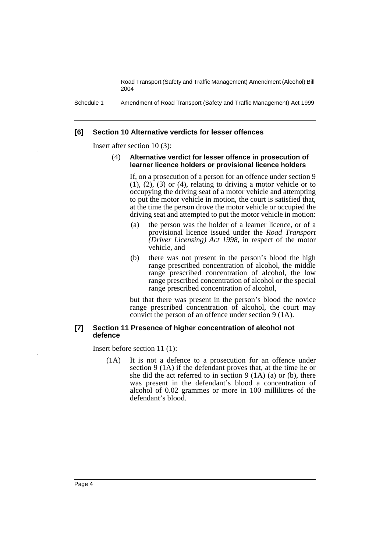Schedule 1 Amendment of Road Transport (Safety and Traffic Management) Act 1999

#### **[6] Section 10 Alternative verdicts for lesser offences**

Insert after section 10 (3):

#### (4) **Alternative verdict for lesser offence in prosecution of learner licence holders or provisional licence holders**

If, on a prosecution of a person for an offence under section 9  $(1)$ ,  $(2)$ ,  $(3)$  or  $(4)$ , relating to driving a motor vehicle or to occupying the driving seat of a motor vehicle and attempting to put the motor vehicle in motion, the court is satisfied that, at the time the person drove the motor vehicle or occupied the driving seat and attempted to put the motor vehicle in motion:

- (a) the person was the holder of a learner licence, or of a provisional licence issued under the *Road Transport (Driver Licensing) Act 1998*, in respect of the motor vehicle, and
- (b) there was not present in the person's blood the high range prescribed concentration of alcohol, the middle range prescribed concentration of alcohol, the low range prescribed concentration of alcohol or the special range prescribed concentration of alcohol,

but that there was present in the person's blood the novice range prescribed concentration of alcohol, the court may convict the person of an offence under section 9 (1A).

#### **[7] Section 11 Presence of higher concentration of alcohol not defence**

Insert before section 11 (1):

(1A) It is not a defence to a prosecution for an offence under section 9 (1A) if the defendant proves that, at the time he or she did the act referred to in section 9 (1A) (a) or (b), there was present in the defendant's blood a concentration of alcohol of 0.02 grammes or more in 100 millilitres of the defendant's blood.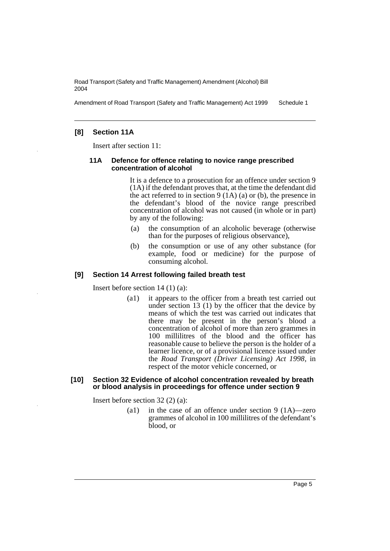Amendment of Road Transport (Safety and Traffic Management) Act 1999 Schedule 1

#### **[8] Section 11A**

Insert after section 11:

#### **11A Defence for offence relating to novice range prescribed concentration of alcohol**

It is a defence to a prosecution for an offence under section 9 (1A) if the defendant proves that, at the time the defendant did the act referred to in section  $9(1A)(a)$  or (b), the presence in the defendant's blood of the novice range prescribed concentration of alcohol was not caused (in whole or in part) by any of the following:

- (a) the consumption of an alcoholic beverage (otherwise than for the purposes of religious observance),
- (b) the consumption or use of any other substance (for example, food or medicine) for the purpose of consuming alcohol.

### **[9] Section 14 Arrest following failed breath test**

Insert before section 14 (1) (a):

(a1) it appears to the officer from a breath test carried out under section 13 (1) by the officer that the device by means of which the test was carried out indicates that there may be present in the person's blood a concentration of alcohol of more than zero grammes in 100 millilitres of the blood and the officer has reasonable cause to believe the person is the holder of a learner licence, or of a provisional licence issued under the *Road Transport (Driver Licensing) Act 1998*, in respect of the motor vehicle concerned, or

#### **[10] Section 32 Evidence of alcohol concentration revealed by breath or blood analysis in proceedings for offence under section 9**

Insert before section 32 (2) (a):

(a1) in the case of an offence under section 9 (1A)—zero grammes of alcohol in 100 millilitres of the defendant's blood, or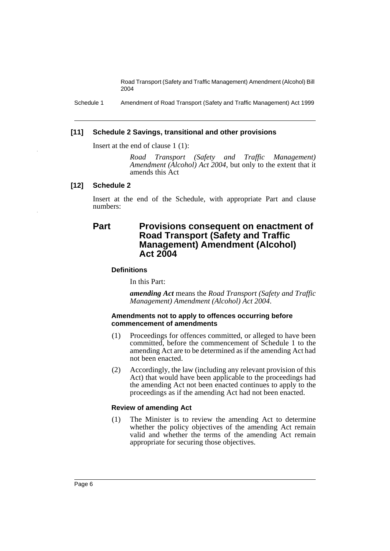Schedule 1 Amendment of Road Transport (Safety and Traffic Management) Act 1999

#### **[11] Schedule 2 Savings, transitional and other provisions**

Insert at the end of clause 1 (1):

*Road Transport (Safety and Traffic Management) Amendment (Alcohol) Act 2004*, but only to the extent that it amends this Act

#### **[12] Schedule 2**

Insert at the end of the Schedule, with appropriate Part and clause numbers:

### **Part Provisions consequent on enactment of Road Transport (Safety and Traffic Management) Amendment (Alcohol) Act 2004**

#### **Definitions**

In this Part:

*amending Act* means the *Road Transport (Safety and Traffic Management) Amendment (Alcohol) Act 2004*.

#### **Amendments not to apply to offences occurring before commencement of amendments**

- (1) Proceedings for offences committed, or alleged to have been committed, before the commencement of Schedule 1 to the amending Act are to be determined as if the amending Act had not been enacted.
- (2) Accordingly, the law (including any relevant provision of this Act) that would have been applicable to the proceedings had the amending Act not been enacted continues to apply to the proceedings as if the amending Act had not been enacted.

#### **Review of amending Act**

(1) The Minister is to review the amending Act to determine whether the policy objectives of the amending Act remain valid and whether the terms of the amending Act remain appropriate for securing those objectives.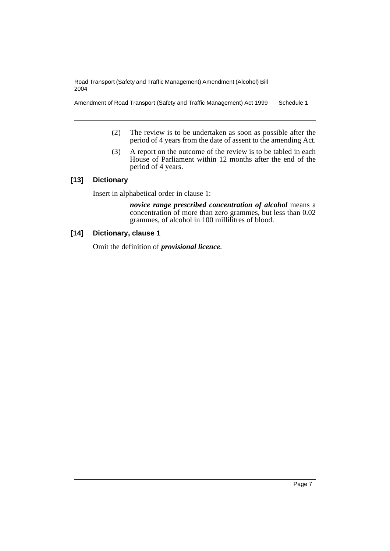Amendment of Road Transport (Safety and Traffic Management) Act 1999 Schedule 1

- (2) The review is to be undertaken as soon as possible after the period of 4 years from the date of assent to the amending Act.
- (3) A report on the outcome of the review is to be tabled in each House of Parliament within 12 months after the end of the period of 4 years.

### **[13] Dictionary**

Insert in alphabetical order in clause 1:

*novice range prescribed concentration of alcohol* means a concentration of more than zero grammes, but less than 0.02 grammes, of alcohol in 100 millilitres of blood.

### **[14] Dictionary, clause 1**

Omit the definition of *provisional licence*.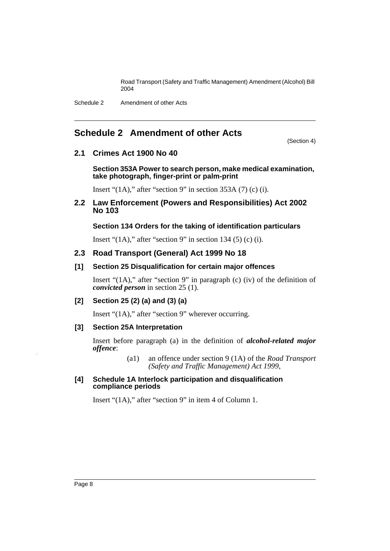Schedule 2 Amendment of other Acts

## **Schedule 2 Amendment of other Acts**

(Section 4)

### **2.1 Crimes Act 1900 No 40**

**Section 353A Power to search person, make medical examination, take photograph, finger-print or palm-print**

Insert " $(1A)$ ," after "section 9" in section 353A (7) (c) (i).

**2.2 Law Enforcement (Powers and Responsibilities) Act 2002 No 103**

### **Section 134 Orders for the taking of identification particulars**

Insert " $(1A)$ ," after "section 9" in section 134 (5) (c) (i).

### **2.3 Road Transport (General) Act 1999 No 18**

### **[1] Section 25 Disqualification for certain major offences**

Insert " $(1A)$ ," after "section 9" in paragraph (c) (iv) of the definition of *convicted person* in section 25 (1).

### **[2] Section 25 (2) (a) and (3) (a)**

Insert "(1A)," after "section 9" wherever occurring.

### **[3] Section 25A Interpretation**

Insert before paragraph (a) in the definition of *alcohol-related major offence*:

> (a1) an offence under section 9 (1A) of the *Road Transport (Safety and Traffic Management) Act 1999*,

#### **[4] Schedule 1A Interlock participation and disqualification compliance periods**

Insert "(1A)," after "section 9" in item 4 of Column 1.